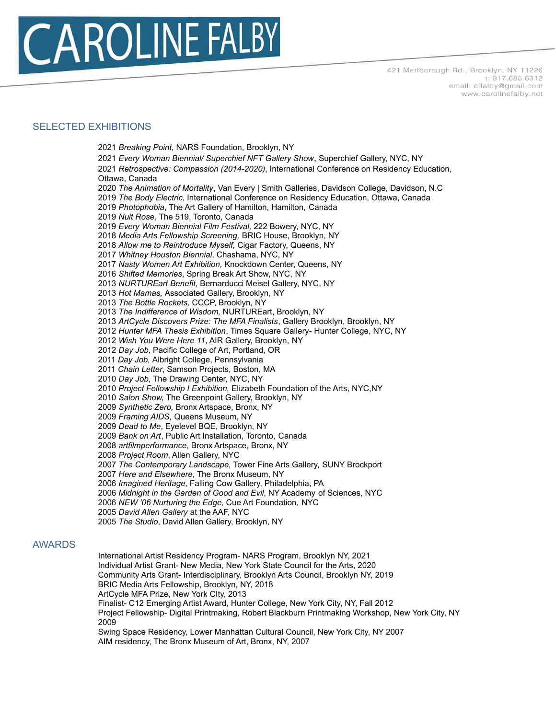

## SELECTED EXHIBITIONS

 *Breaking Point,* NARS Foundation, Brooklyn, NY *Every Woman Biennial/ Superchief NFT Gallery Show*, Superchief Gallery, NYC, NY *Retrospective: Compassion (2014-2020)*, International Conference on Residency Education, Ottawa, Canada *The Animation of Mortality*, Van Every | Smith Galleries, Davidson College, Davidson, N.C *The Body Electric*, International Conference on Residency Education, Ottawa, Canada *Photophobia*, The Art Gallery of Hamilton, Hamilton, Canada *Nuit Rose,* The 519, Toronto, Canada *Every Woman Biennial Film Festival,* 222 Bowery, NYC, NY *Media Arts Fellowship Screening,* BRIC House, Brooklyn, NY *Allow me to Reintroduce Myself,* Cigar Factory, Queens, NY *Whitney Houston Biennial*, Chashama, NYC, NY *Nasty Women Art Exhibition,* Knockdown Center, Queens, NY *Shifted Memories*, Spring Break Art Show, NYC, NY *NURTUREart Benefit*, Bernarducci Meisel Gallery, NYC, NY *Hot Mamas,* Associated Gallery, Brooklyn, NY *The Bottle Rockets,* CCCP, Brooklyn, NY *The Indifference of Wisdom,* NURTUREart, Brooklyn, NY *ArtCycle Discovers Prize: The MFA Finalists*, Gallery Brooklyn, Brooklyn, NY *Hunter MFA Thesis Exhibition*, Times Square Gallery- Hunter College, NYC, NY *Wish You Were Here 11*, AIR Gallery, Brooklyn, NY *Day Job*, Pacific College of Art, Portland, OR *Day Job,* Albright College, Pennsylvania *Chain Letter*, Samson Projects, Boston, MA *Day Job*, The Drawing Center, NYC, NY *Project Fellowship I Exhibition,* Elizabeth Foundation of the Arts, NYC,NY *Salon Show,* The Greenpoint Gallery, Brooklyn, NY *Synthetic Zero,* Bronx Artspace, Bronx, NY *Framing AIDS,* Queens Museum, NY *Dead to Me*, Eyelevel BQE, Brooklyn, NY *Bank on Art*, Public Art Installation, Toronto, Canada *artfilmperformance*, Bronx Artspace, Bronx, NY *Project Room*, Allen Gallery, NYC *The Contemporary Landscape,* Tower Fine Arts Gallery, SUNY Brockport *Here and Elsewhere*, The Bronx Museum, NY *Imagined Heritage*, Falling Cow Gallery, Philadelphia, PA *Midnight in the Garden of Good and Evil*, NY Academy of Sciences, NYC *NEW '06 Nurturing the Edge,* Cue Art Foundation, NYC *David Allen Gallery* at the AAF, NYC *The Studio*, David Allen Gallery, Brooklyn, NY

## AWARDS

International Artist Residency Program- NARS Program, Brooklyn NY, 2021 Individual Artist Grant- New Media, New York State Council for the Arts, 2020 Community Arts Grant- Interdisciplinary, Brooklyn Arts Council, Brooklyn NY, 2019 BRIC Media Arts Fellowship, Brooklyn, NY, 2018 ArtCycle MFA Prize, New York CIty, 2013 Finalist- C12 Emerging Artist Award, Hunter College, New York City, NY, Fall 2012 Project Fellowship- Digital Printmaking, Robert Blackburn Printmaking Workshop, New York City, NY Swing Space Residency, Lower Manhattan Cultural Council, New York City, NY 2007 AIM residency, The Bronx Museum of Art, Bronx, NY, 2007